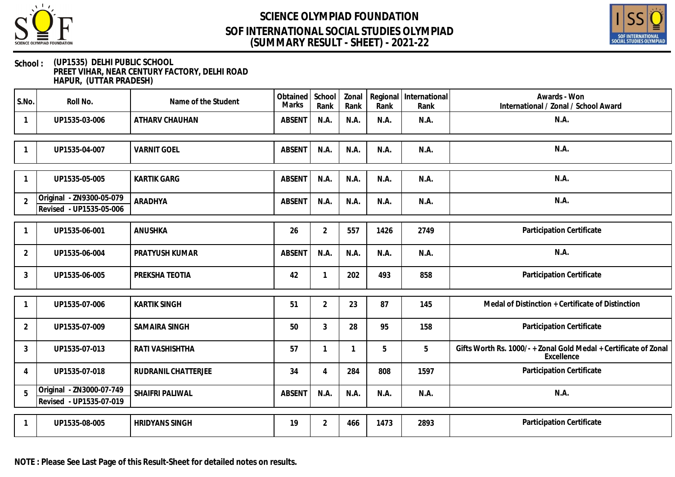

## **SCIENCE OLYMPIAD FOUNDATION (SUMMARY RESULT - SHEET) - 2021-22 SOF INTERNATIONAL SOCIAL STUDIES OLYMPIAD**



#### **School : (UP1535) DELHI PUBLIC SCHOOL PREET VIHAR, NEAR CENTURY FACTORY, DELHI ROAD HAPUR, (UTTAR PRADESH)**

| S.No.          | Roll No.                                            | Name of the Student        | Obtained<br>Marks | School<br>Rank | Zonal<br>Rank | Rank | Regional International<br>Rank | Awards - Won<br>International / Zonal / School Award                         |
|----------------|-----------------------------------------------------|----------------------------|-------------------|----------------|---------------|------|--------------------------------|------------------------------------------------------------------------------|
| $\mathbf{1}$   | UP1535-03-006                                       | ATHARV CHAUHAN             | <b>ABSENT</b>     | N.A.           | N.A.          | N.A. | N.A.                           | N.A.                                                                         |
|                | UP1535-04-007                                       | <b>VARNIT GOEL</b>         | <b>ABSENT</b>     | N.A.           | N.A.          | N.A. | N.A.                           | N.A.                                                                         |
| 1              | UP1535-05-005                                       | <b>KARTIK GARG</b>         | <b>ABSENT</b>     | N.A.           | N.A.          | N.A. | N.A.                           | N.A.                                                                         |
| $\overline{2}$ | Original - ZN9300-05-079<br>Revised - UP1535-05-006 | ARADHYA                    | <b>ABSENT</b>     | N.A.           | N.A.          | N.A. | N.A.                           | N.A.                                                                         |
| -1             | UP1535-06-001                                       | ANUSHKA                    | 26                | $\overline{2}$ | 557           | 1426 | 2749                           | Participation Certificate                                                    |
| $\overline{2}$ | UP1535-06-004                                       | PRATYUSH KUMAR             | <b>ABSENT</b>     | N.A.           | N.A.          | N.A. | N.A.                           | N.A.                                                                         |
| $\mathfrak{Z}$ | UP1535-06-005                                       | PREKSHA TEOTIA             | 42                | $\mathbf 1$    | 202           | 493  | 858                            | Participation Certificate                                                    |
|                | UP1535-07-006                                       | <b>KARTIK SINGH</b>        | 51                | $\overline{2}$ | 23            | 87   | 145                            | Medal of Distinction + Certificate of Distinction                            |
| $\overline{2}$ | UP1535-07-009                                       | <b>SAMAIRA SINGH</b>       | 50                | 3              | 28            | 95   | 158                            | Participation Certificate                                                    |
| $\mathbf{3}$   | UP1535-07-013                                       | RATI VASHISHTHA            | 57                | 1              | 1             | 5    | 5                              | Gifts Worth Rs. 1000/-+Zonal Gold Medal + Certificate of Zonal<br>Excellence |
| 4              | UP1535-07-018                                       | <b>RUDRANIL CHATTERJEE</b> | 34                | $\overline{A}$ | 284           | 808  | 1597                           | Participation Certificate                                                    |
| 5              | Original - ZN3000-07-749<br>Revised - UP1535-07-019 | SHAIFRI PALIWAL            | <b>ABSENT</b>     | N.A.           | N.A.          | N.A. | N.A.                           | N.A.                                                                         |
| $\mathbf{1}$   | UP1535-08-005                                       | <b>HRIDYANS SINGH</b>      | 19                | $\overline{2}$ | 466           | 1473 | 2893                           | Participation Certificate                                                    |

**NOTE : Please See Last Page of this Result-Sheet for detailed notes on results.**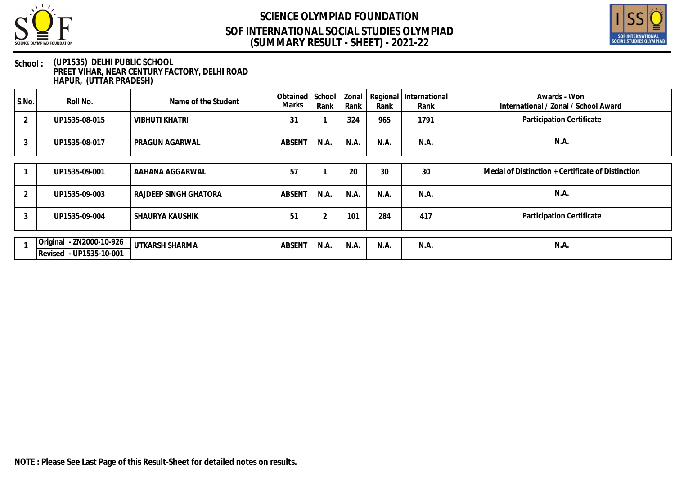

## **SCIENCE OLYMPIAD FOUNDATION (SUMMARY RESULT - SHEET) - 2021-22 SOF INTERNATIONAL SOCIAL STUDIES OLYMPIAD**



#### **School : (UP1535) DELHI PUBLIC SCHOOL PREET VIHAR, NEAR CENTURY FACTORY, DELHI ROAD HAPUR, (UTTAR PRADESH)**

| S.No.          | Roll No.                                            | Name of the Student   | Obtained<br>Marks | School<br>Rank | Rank | Rank | Zonal   Regional   International<br>Rank | Awards - Won<br>International / Zonal / School Award |
|----------------|-----------------------------------------------------|-----------------------|-------------------|----------------|------|------|------------------------------------------|------------------------------------------------------|
| $\overline{2}$ | UP1535-08-015                                       | <b>VIBHUTI KHATRI</b> | 31                |                | 324  | 965  | 1791                                     | Participation Certificate                            |
| 3              | UP1535-08-017                                       | PRAGUN AGARWAL        | <b>ABSENT</b>     | N.A.           | N.A. | N.A. | N.A.                                     | N.A.                                                 |
|                | UP1535-09-001                                       | AAHANA AGGARWAL       | 57                |                | 20   | 30   | 30                                       | Medal of Distinction + Certificate of Distinction    |
|                |                                                     |                       |                   |                |      |      |                                          |                                                      |
| 2              | UP1535-09-003                                       | RAJDEEP SINGH GHATORA | <b>ABSENT</b>     | N.A            | N.A. | N.A. | N.A.                                     | N.A.                                                 |
| 3              | UP1535-09-004                                       | SHAURYA KAUSHIK       | 51                | 2              | 101  | 284  | 417                                      | Participation Certificate                            |
|                |                                                     |                       |                   |                |      |      |                                          |                                                      |
|                |                                                     | UTKARSH SHARMA        | <b>ABSENT</b>     | N.A.           | N.A. | N.A. | N.A.                                     | N.A.                                                 |
|                | Original - ZN2000-10-926<br>Revised - UP1535-10-001 |                       |                   |                |      |      |                                          |                                                      |